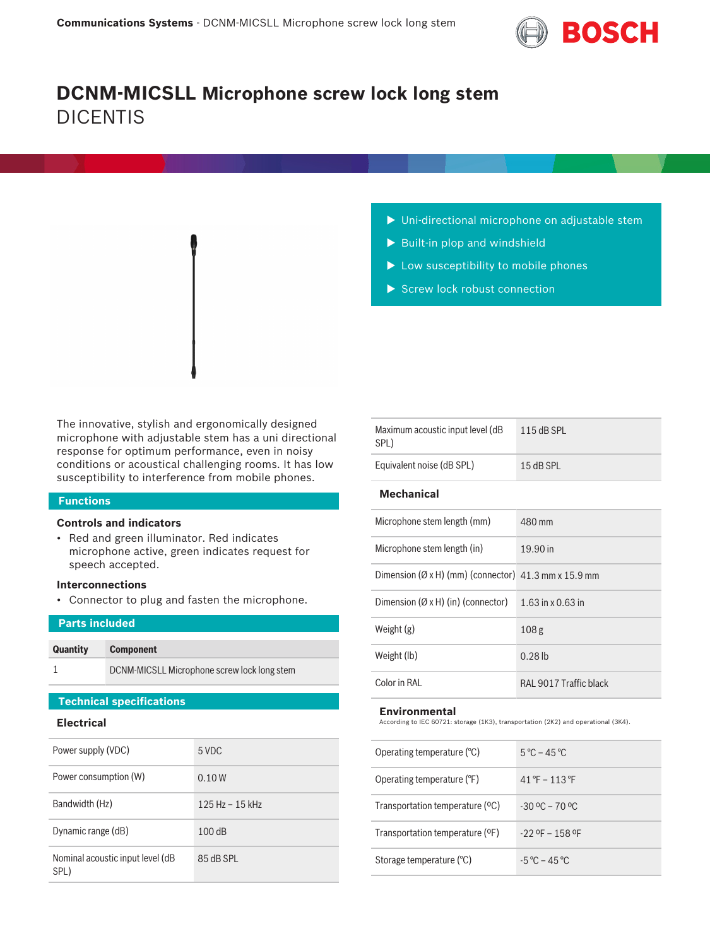

# **DCNM-MICSLL Microphone screw lock long stem** DICENTIS

- $\blacktriangleright$  Uni-directional microphone on adjustable stem
- $\blacktriangleright$  Built-in plop and windshield
- $\blacktriangleright$  Low susceptibility to mobile phones
- $\blacktriangleright$  Screw lock robust connection

The innovative, stylish and ergonomically designed microphone with adjustable stem has a uni directional response for optimum performance, even in noisy conditions or acoustical challenging rooms. It has low susceptibility to interference from mobile phones.

#### **Functions**

#### **Controls and indicators**

• Red and green illuminator. Red indicates microphone active, green indicates request for speech accepted.

#### **Interconnections**

• Connector to plug and fasten the microphone.

| <b>Parts included</b> |                                             |  |
|-----------------------|---------------------------------------------|--|
|                       |                                             |  |
| <b>Quantity</b>       | <b>Component</b>                            |  |
|                       | DCNM-MICSLL Microphone screw lock long stem |  |

### **Technical specifications**

### **Electrical**

| Power supply (VDC)                       | 5 VDC               |
|------------------------------------------|---------------------|
| Power consumption (W)                    | 0.10 W              |
| Bandwidth (Hz)                           | $125$ Hz - $15$ kHz |
| Dynamic range (dB)                       | 100dB               |
| Nominal acoustic input level (dB<br>SPL) | 85 dB SPL           |

| Maximum acoustic input level (dB<br>SPL) | $115$ dB SPI |  |  |  |
|------------------------------------------|--------------|--|--|--|
| Equivalent noise (dB SPL)                | $15$ dB SPI  |  |  |  |
| <b>Mechanical</b>                        |              |  |  |  |
|                                          |              |  |  |  |

| Microphone stem length (in)                                       | 19.90 in               |
|-------------------------------------------------------------------|------------------------|
| Dimension ( $\varnothing$ x H) (mm) (connector) 41.3 mm x 15.9 mm |                        |
| Dimension $(\emptyset x H)$ (in) (connector)                      | 1.63 in x 0.63 in      |
| Weight $(g)$                                                      | 108 <sub>g</sub>       |
| Weight (lb)                                                       | $0.28$ lb              |
| Color in RAI                                                      | RAL 9017 Traffic black |

#### **Environmental**

According to IEC 60721: storage (1K3), transportation (2K2) and operational (3K4).

| Operating temperature $(°C)$    | $5^{\circ}$ C – 45 °C                         |
|---------------------------------|-----------------------------------------------|
| Operating temperature (°F)      | $41^{\circ}$ F – 113 °F                       |
| Transportation temperature (°C) | $-30$ °C $-70$ °C                             |
| Transportation temperature (°F) | $-229$ OF $-158$ OF                           |
| Storage temperature (°C)        | $-5\,^{\circ}\text{C} - 45\,^{\circ}\text{C}$ |